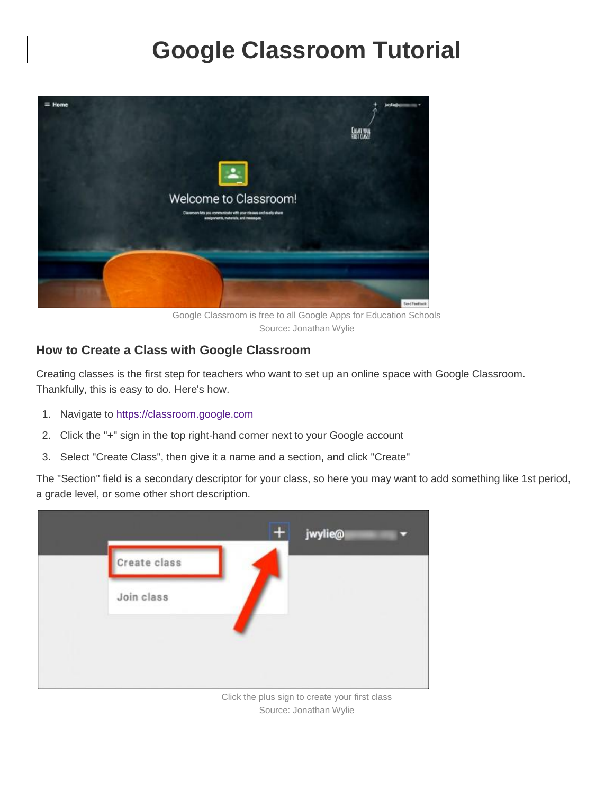# **Google Classroom Tutorial**



Google Classroom is free to all Google Apps for Education Schools Source: Jonathan Wylie

#### **How to Create a Class with Google Classroom**

Creating classes is the first step for teachers who want to set up an online space with Google Classroom. Thankfully, this is easy to do. Here's how.

- 1. Navigate to [https://classroom.google.com](https://classroom.google.com/)
- 2. Click the "+" sign in the top right-hand corner next to your Google account
- 3. Select "Create Class", then give it a name and a section, and click "Create"

The "Section" field is a secondary descriptor for your class, so here you may want to add something like 1st period, a grade level, or some other short description.



Click the plus sign to create your first class Source: Jonathan Wylie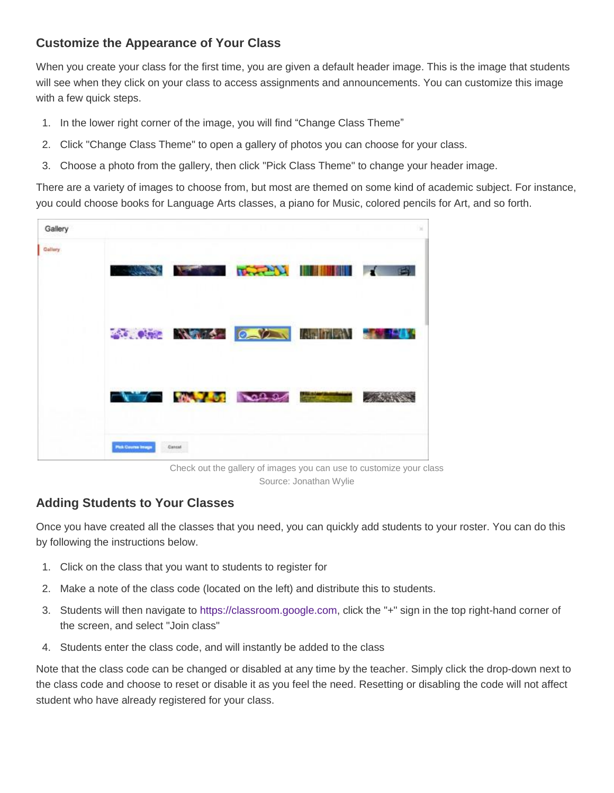#### **Customize the Appearance of Your Class**

When you create your class for the first time, you are given a default header image. This is the image that students will see when they click on your class to access assignments and announcements. You can customize this image with a few quick steps.

- 1. In the lower right corner of the image, you will find "Change Class Theme"
- 2. Click "Change Class Theme" to open a gallery of photos you can choose for your class.
- 3. Choose a photo from the gallery, then click "Pick Class Theme" to change your header image.

There are a variety of images to choose from, but most are themed on some kind of academic subject. For instance, you could choose books for Language Arts classes, a piano for Music, colored pencils for Art, and so forth.

| Gallery        |                        |                                                                                                                       |  |            |
|----------------|------------------------|-----------------------------------------------------------------------------------------------------------------------|--|------------|
| <b>Gallery</b> | <b>Command</b>         | <b>TAXABLE IN THE REAL PROPERTY</b>                                                                                   |  | $\sqrt{9}$ |
|                |                        | <b>SO AND MARKED OF A MARKET OF A STATE OF A STATE OF A STATE OF A STATE OF A STATE OF A STATE OF A STATE OF A ST</b> |  |            |
|                |                        | $\sqrt{7}$ $\sqrt{91}$ $\sqrt{222}$                                                                                   |  |            |
|                | <b>Pick Cusma Imag</b> | Cancul                                                                                                                |  |            |

Check out the gallery of images you can use to customize your class Source: Jonathan Wylie

#### **Adding Students to Your Classes**

Once you have created all the classes that you need, you can quickly add students to your roster. You can do this by following the instructions below.

- 1. Click on the class that you want to students to register for
- 2. Make a note of the class code (located on the left) and distribute this to students.
- 3. Students will then navigate to [https://classroom.google.com,](https://classroom.google.com/) click the "+" sign in the top right-hand corner of the screen, and select "Join class"
- 4. Students enter the class code, and will instantly be added to the class

Note that the class code can be changed or disabled at any time by the teacher. Simply click the drop-down next to the class code and choose to reset or disable it as you feel the need. Resetting or disabling the code will not affect student who have already registered for your class.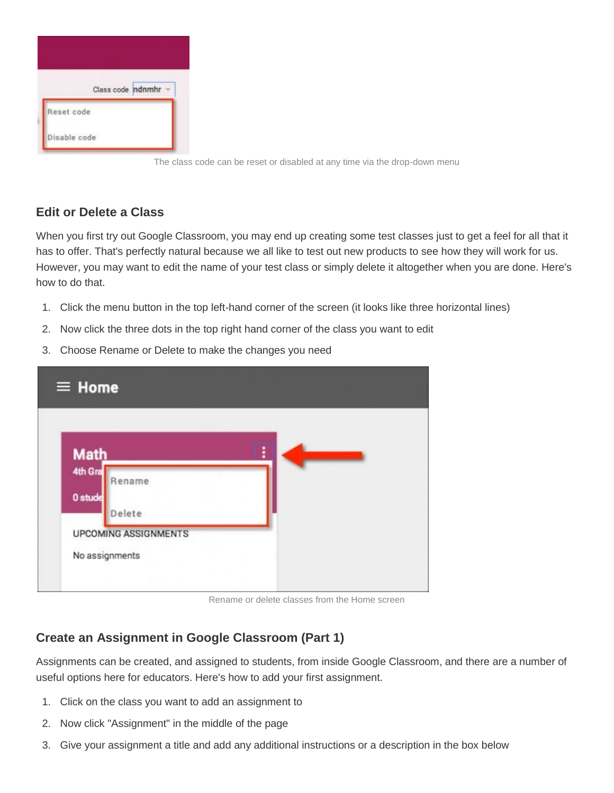

The class code can be reset or disabled at any time via the drop-down menu

#### **Edit or Delete a Class**

When you first try out Google Classroom, you may end up creating some test classes just to get a feel for all that it has to offer. That's perfectly natural because we all like to test out new products to see how they will work for us. However, you may want to edit the name of your test class or simply delete it altogether when you are done. Here's how to do that.

- 1. Click the menu button in the top left-hand corner of the screen (it looks like three horizontal lines)
- 2. Now click the three dots in the top right hand corner of the class you want to edit
- 3. Choose Rename or Delete to make the changes you need

| $\equiv$ Home                                 |   |
|-----------------------------------------------|---|
| <b>Math</b>                                   | i |
| 4th Gra<br>Rename<br>0 stude<br>Delete        |   |
| <b>UPCOMING ASSIGNMENTS</b><br>No assignments |   |

Rename or delete classes from the Home screen

## **Create an Assignment in Google Classroom (Part 1)**

Assignments can be created, and assigned to students, from inside Google Classroom, and there are a number of useful options here for educators. Here's how to add your first assignment.

- 1. Click on the class you want to add an assignment to
- 2. Now click "Assignment" in the middle of the page
- 3. Give your assignment a title and add any additional instructions or a description in the box below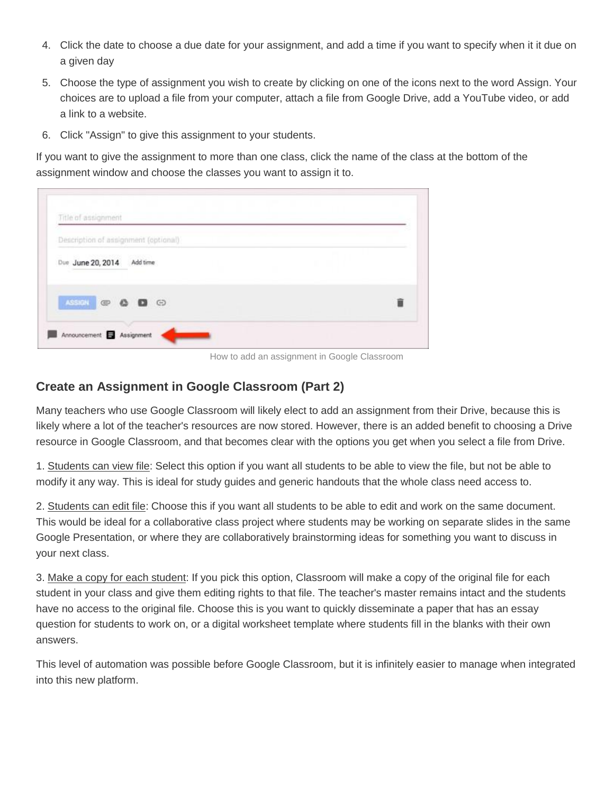- 4. Click the date to choose a due date for your assignment, and add a time if you want to specify when it it due on a given day
- 5. Choose the type of assignment you wish to create by clicking on one of the icons next to the word Assign. Your choices are to upload a file from your computer, attach a file from Google Drive, add a YouTube video, or add a link to a website.
- 6. Click "Assign" to give this assignment to your students.

If you want to give the assignment to more than one class, click the name of the class at the bottom of the assignment window and choose the classes you want to assign it to.

| Description of assignment (optional) |  |
|--------------------------------------|--|
| Due June 20, 2014<br>Add time        |  |
|                                      |  |
| ASIGN @ @ @ @                        |  |

How to add an assignment in Google Classroom

#### **Create an Assignment in Google Classroom (Part 2)**

Many teachers who use Google Classroom will likely elect to add an assignment from their Drive, because this is likely where a lot of the teacher's resources are now stored. However, there is an added benefit to choosing a Drive resource in Google Classroom, and that becomes clear with the options you get when you select a file from Drive.

1. Students can view file: Select this option if you want all students to be able to view the file, but not be able to modify it any way. This is ideal for study guides and generic handouts that the whole class need access to.

2. Students can edit file: Choose this if you want all students to be able to edit and work on the same document. This would be ideal for a collaborative class project where students may be working on separate slides in the same Google Presentation, or where they are collaboratively brainstorming ideas for something you want to discuss in your next class.

3. Make a copy for each student: If you pick this option, Classroom will make a copy of the original file for each student in your class and give them editing rights to that file. The teacher's master remains intact and the students have no access to the original file. Choose this is you want to quickly disseminate a paper that has an essay question for students to work on, or a digital worksheet template where students fill in the blanks with their own answers.

This level of automation was possible before Google Classroom, but it is infinitely easier to manage when integrated into this new platform.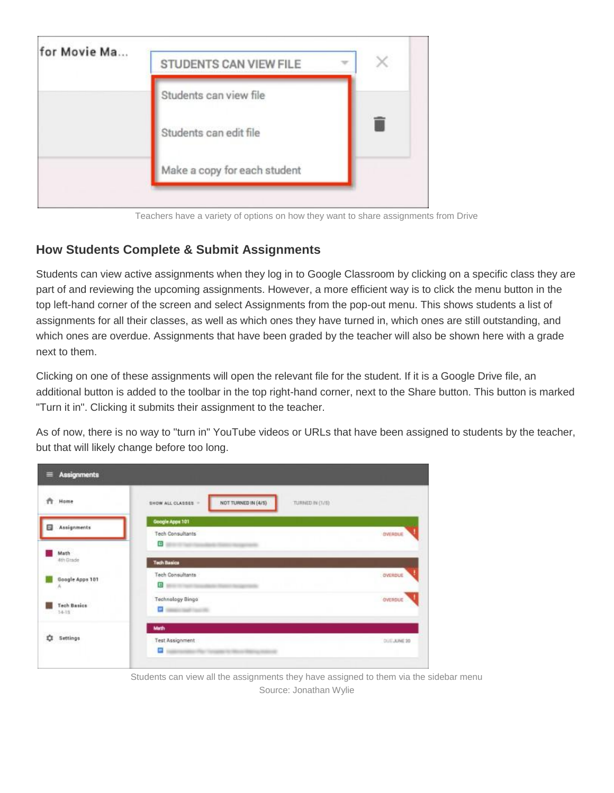

Teachers have a variety of options on how they want to share assignments from Drive

## **How Students Complete & Submit Assignments**

Students can view active assignments when they log in to Google Classroom by clicking on a specific class they are part of and reviewing the upcoming assignments. However, a more efficient way is to click the menu button in the top left-hand corner of the screen and select Assignments from the pop-out menu. This shows students a list of assignments for all their classes, as well as which ones they have turned in, which ones are still outstanding, and which ones are overdue. Assignments that have been graded by the teacher will also be shown here with a grade next to them.

Clicking on one of these assignments will open the relevant file for the student. If it is a Google Drive file, an additional button is added to the toolbar in the top right-hand corner, next to the Share button. This button is marked "Turn it in". Clicking it submits their assignment to the teacher.

As of now, there is no way to "turn in" YouTube videos or URLs that have been assigned to students by the teacher, but that will likely change before too long.

| <b>Assignments</b><br>≡                          |                                                              |             |
|--------------------------------------------------|--------------------------------------------------------------|-------------|
| ň<br>Home                                        | NOT TURNED IN (4/5)<br>SHOW ALL CLASSES .<br>TURNED IN (1/6) |             |
| Assignments<br>Θ                                 | Google Apps 101<br><b>Tech Consultants</b>                   | OVERDUE     |
| Math<br>4th Grade<br>000 B                       | $\mathbf{G}$<br><b>Tech Basics</b>                           |             |
| Google Apps 101<br>л                             | <b>Tech Consultants</b><br>$B_{\rm max}$                     | OVERDUE     |
| <b>Tech Basics</b><br>$-14-15$                   | <b>Technology Bingo</b><br><b>C</b> mean such such           | OVERDUE     |
| <b><i>MAGAZINE SERVICES</i></b><br>٠<br>Settings | Math.<br>Test Assignment<br>Ξ                                | DUE JUNE 20 |

Students can view all the assignments they have assigned to them via the sidebar menu Source: Jonathan Wylie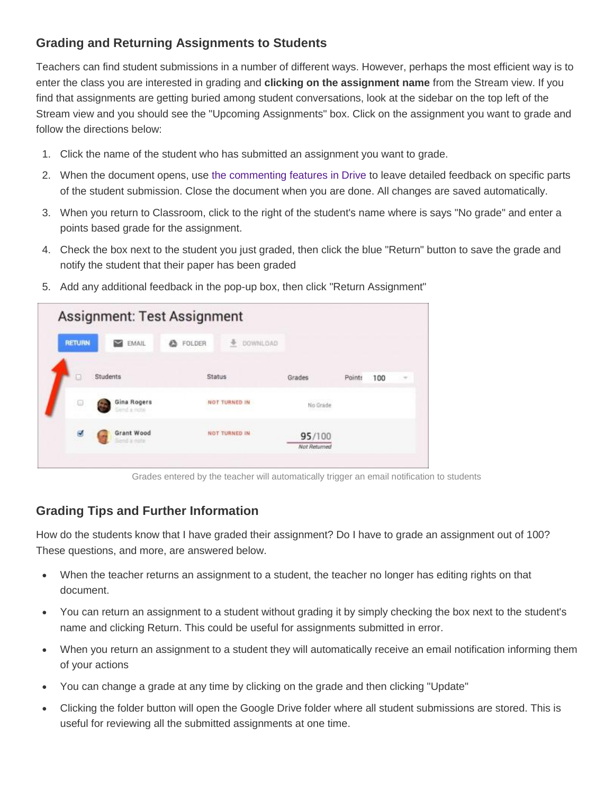### **Grading and Returning Assignments to Students**

Teachers can find student submissions in a number of different ways. However, perhaps the most efficient way is to enter the class you are interested in grading and **clicking on the assignment name** from the Stream view. If you find that assignments are getting buried among student conversations, look at the sidebar on the top left of the Stream view and you should see the "Upcoming Assignments" box. Click on the assignment you want to grade and follow the directions below:

- 1. Click the name of the student who has submitted an assignment you want to grade.
- 2. When the document opens, use [the commenting features in Drive](https://support.google.com/docs/topic/4711548?hl=en&ref_topic=1360896) to leave detailed feedback on specific parts of the student submission. Close the document when you are done. All changes are saved automatically.
- 3. When you return to Classroom, click to the right of the student's name where is says "No grade" and enter a points based grade for the assignment.
- 4. Check the box next to the student you just graded, then click the blue "Return" button to save the grade and notify the student that their paper has been graded

| <b>RETURN</b> | EMAIL<br>◛                                                  | FOLDER<br>a | <b><i>COWNLOAD</i></b> |                        |        |     |   |
|---------------|-------------------------------------------------------------|-------------|------------------------|------------------------|--------|-----|---|
|               | Students                                                    | Status      |                        | Grades                 | Points | 100 | × |
| G             | Gina Rogers<br>lend a note                                  |             | NOT TURNED IN          | No Grade<br>-----      |        |     |   |
| ø             | Grant Wood<br>Send a note<br>and the company of the company |             | NOT TURNED IN          | 95/100<br>Not Returned |        |     |   |

5. Add any additional feedback in the pop-up box, then click "Return Assignment"

Grades entered by the teacher will automatically trigger an email notification to students

## **Grading Tips and Further Information**

How do the students know that I have graded their assignment? Do I have to grade an assignment out of 100? These questions, and more, are answered below.

- When the teacher returns an assignment to a student, the teacher no longer has editing rights on that document.
- You can return an assignment to a student without grading it by simply checking the box next to the student's name and clicking Return. This could be useful for assignments submitted in error.
- When you return an assignment to a student they will automatically receive an email notification informing them of your actions
- You can change a grade at any time by clicking on the grade and then clicking "Update"
- Clicking the folder button will open the Google Drive folder where all student submissions are stored. This is useful for reviewing all the submitted assignments at one time.